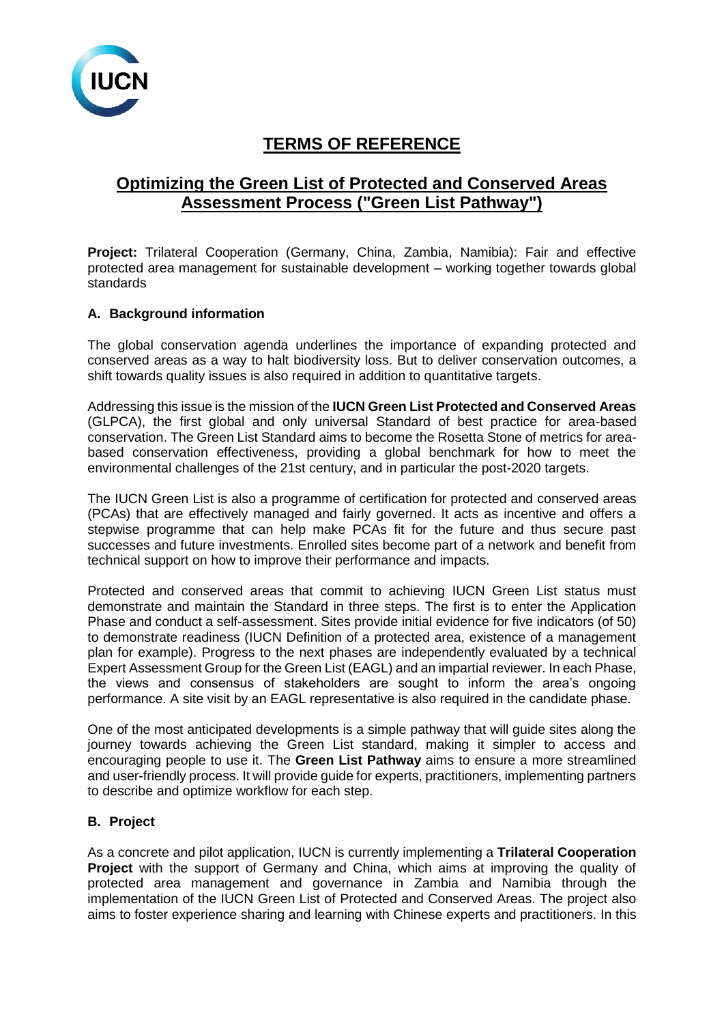

# **TERMS OF REFERENCE**

# **Optimizing the Green List of Protected and Conserved Areas Assessment Process ("Green List Pathway")**

Project: Trilateral Cooperation (Germany, China, Zambia, Namibia): Fair and effective protected area management for sustainable development – working together towards global standards

### **A. Background information**

The global conservation agenda underlines the importance of expanding protected and conserved areas as a way to halt biodiversity loss. But to deliver conservation outcomes, a shift towards quality issues is also required in addition to quantitative targets.

Addressing this issue is the mission of the **IUCN Green List Protected and Conserved Areas** (GLPCA), the first global and only universal Standard of best practice for area-based conservation. The Green List Standard aims to become the Rosetta Stone of metrics for areabased conservation effectiveness, providing a global benchmark for how to meet the environmental challenges of the 21st century, and in particular the post-2020 targets.

The IUCN Green List is also a programme of certification for protected and conserved areas (PCAs) that are effectively managed and fairly governed. It acts as incentive and offers a stepwise programme that can help make PCAs fit for the future and thus secure past successes and future investments. Enrolled sites become part of a network and benefit from technical support on how to improve their performance and impacts.

Protected and conserved areas that commit to achieving IUCN Green List status must demonstrate and maintain the Standard in three steps. The first is to enter the Application Phase and conduct a self-assessment. Sites provide initial evidence for five indicators (of 50) to demonstrate readiness (IUCN Definition of a protected area, existence of a management plan for example). Progress to the next phases are independently evaluated by a technical Expert Assessment Group for the Green List (EAGL) and an impartial reviewer. In each Phase, the views and consensus of stakeholders are sought to inform the area's ongoing performance. A site visit by an EAGL representative is also required in the candidate phase.

One of the most anticipated developments is a simple pathway that will guide sites along the journey towards achieving the Green List standard, making it simpler to access and encouraging people to use it. The **Green List Pathway** aims to ensure a more streamlined and user-friendly process. It will provide guide for experts, practitioners, implementing partners to describe and optimize workflow for each step.

#### **B. Project**

As a concrete and pilot application, IUCN is currently implementing a **Trilateral Cooperation Project** with the support of Germany and China, which aims at improving the quality of protected area management and governance in Zambia and Namibia through the implementation of the IUCN Green List of Protected and Conserved Areas. The project also aims to foster experience sharing and learning with Chinese experts and practitioners. In this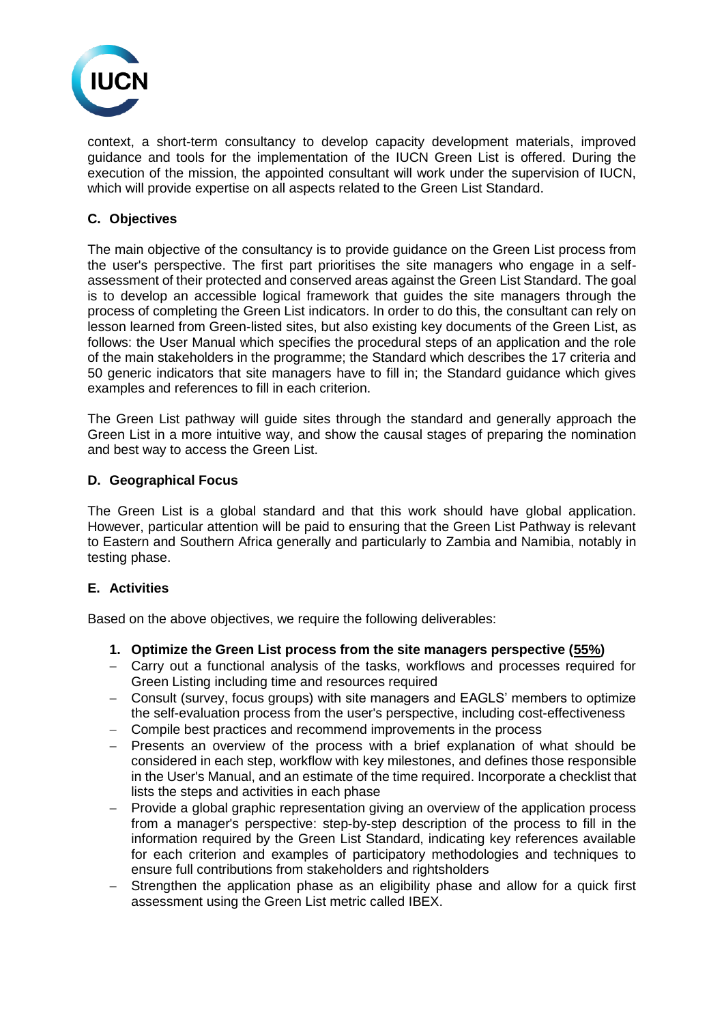

context, a short-term consultancy to develop capacity development materials, improved guidance and tools for the implementation of the IUCN Green List is offered. During the execution of the mission, the appointed consultant will work under the supervision of IUCN, which will provide expertise on all aspects related to the Green List Standard.

## **C. Objectives**

The main objective of the consultancy is to provide guidance on the Green List process from the user's perspective. The first part prioritises the site managers who engage in a selfassessment of their protected and conserved areas against the Green List Standard. The goal is to develop an accessible logical framework that guides the site managers through the process of completing the Green List indicators. In order to do this, the consultant can rely on lesson learned from Green-listed sites, but also existing key documents of the Green List, as follows: the User Manual which specifies the procedural steps of an application and the role of the main stakeholders in the programme; the Standard which describes the 17 criteria and 50 generic indicators that site managers have to fill in; the Standard guidance which gives examples and references to fill in each criterion.

The Green List pathway will guide sites through the standard and generally approach the Green List in a more intuitive way, and show the causal stages of preparing the nomination and best way to access the Green List.

#### **D. Geographical Focus**

The Green List is a global standard and that this work should have global application. However, particular attention will be paid to ensuring that the Green List Pathway is relevant to Eastern and Southern Africa generally and particularly to Zambia and Namibia, notably in testing phase.

#### **E. Activities**

Based on the above objectives, we require the following deliverables:

- **1. Optimize the Green List process from the site managers perspective (55%)**
- − Carry out a functional analysis of the tasks, workflows and processes required for Green Listing including time and resources required
- − Consult (survey, focus groups) with site managers and EAGLS' members to optimize the self-evaluation process from the user's perspective, including cost-effectiveness
- − Compile best practices and recommend improvements in the process
- − Presents an overview of the process with a brief explanation of what should be considered in each step, workflow with key milestones, and defines those responsible in the User's Manual, and an estimate of the time required. Incorporate a checklist that lists the steps and activities in each phase
- − Provide a global graphic representation giving an overview of the application process from a manager's perspective: step-by-step description of the process to fill in the information required by the Green List Standard, indicating key references available for each criterion and examples of participatory methodologies and techniques to ensure full contributions from stakeholders and rightsholders
- Strengthen the application phase as an eligibility phase and allow for a quick first assessment using the Green List metric called IBEX.